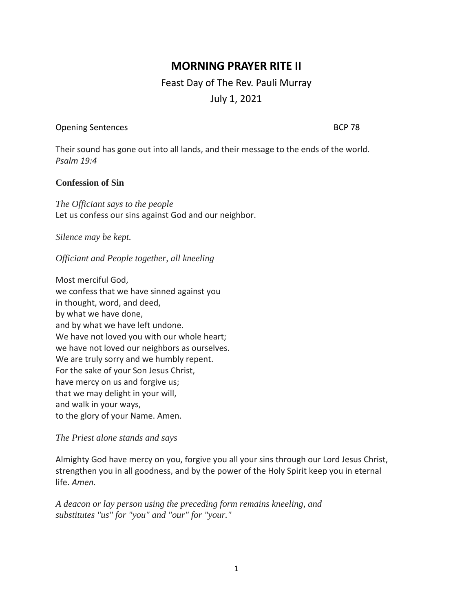# **MORNING PRAYER RITE II**

# Feast Day of The Rev. Pauli Murray July 1, 2021

### Opening Sentences and Secretary Australian Secretary Australian Secretary Australian Secretary Australian Secretary Australian Secretary Australian Secretary Australian Secretary Australian Secretary Australian Secretary A

Their sound has gone out into all lands, and their message to the ends of the world. *Psalm 19:4*

## **Confession of Sin**

*The Officiant says to the people* Let us confess our sins against God and our neighbor.

*Silence may be kept.*

# *Officiant and People together, all kneeling*

Most merciful God, we confess that we have sinned against you in thought, word, and deed, by what we have done, and by what we have left undone. We have not loved you with our whole heart; we have not loved our neighbors as ourselves. We are truly sorry and we humbly repent. For the sake of your Son Jesus Christ, have mercy on us and forgive us; that we may delight in your will, and walk in your ways, to the glory of your Name. Amen.

# *The Priest alone stands and says*

Almighty God have mercy on you, forgive you all your sins through our Lord Jesus Christ, strengthen you in all goodness, and by the power of the Holy Spirit keep you in eternal life. *Amen.*

*A deacon or lay person using the preceding form remains kneeling, and substitutes "us" for "you" and "our" for "your."*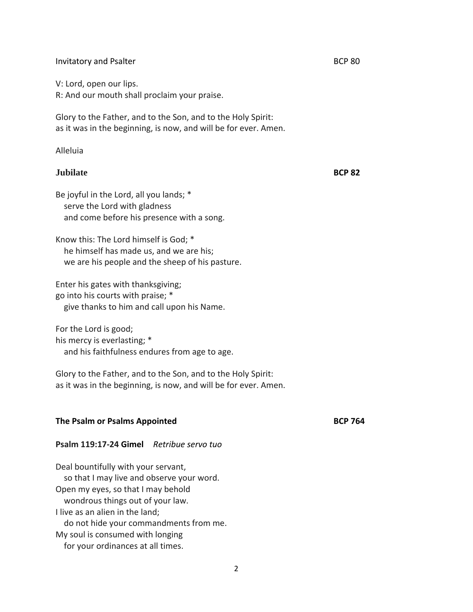| <b>Invitatory and Psalter</b>                                                                                                                              | <b>BCP 80</b>  |
|------------------------------------------------------------------------------------------------------------------------------------------------------------|----------------|
| V: Lord, open our lips.<br>R: And our mouth shall proclaim your praise.                                                                                    |                |
| Glory to the Father, and to the Son, and to the Holy Spirit:<br>as it was in the beginning, is now, and will be for ever. Amen.                            |                |
| Alleluia                                                                                                                                                   |                |
| <b>Jubilate</b>                                                                                                                                            | <b>BCP 82</b>  |
| Be joyful in the Lord, all you lands; *<br>serve the Lord with gladness<br>and come before his presence with a song.                                       |                |
| Know this: The Lord himself is God; *<br>he himself has made us, and we are his;<br>we are his people and the sheep of his pasture.                        |                |
| Enter his gates with thanksgiving;<br>go into his courts with praise; *<br>give thanks to him and call upon his Name.                                      |                |
| For the Lord is good;<br>his mercy is everlasting; *<br>and his faithfulness endures from age to age.                                                      |                |
| Glory to the Father, and to the Son, and to the Holy Spirit:<br>as it was in the beginning, is now, and will be for ever. Amen.                            |                |
| The Psalm or Psalms Appointed                                                                                                                              | <b>BCP 764</b> |
| <b>Psalm 119:17-24 Gimel</b><br>Retribue servo tuo                                                                                                         |                |
| Deal bountifully with your servant,<br>so that I may live and observe your word.<br>Open my eyes, so that I may behold<br>wondrous things out of your law. |                |

I live as an alien in the land;

do not hide your commandments from me.

My soul is consumed with longing

for your ordinances at all times.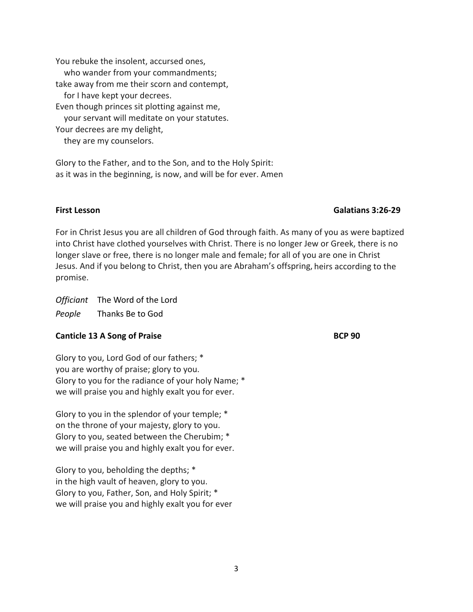You rebuke the insolent, accursed ones, who wander from your commandments; take away from me their scorn and contempt, for I have kept your decrees. Even though princes sit plotting against me, your servant will meditate on your statutes. Your decrees are my delight,

they are my counselors.

Glory to the Father, and to the Son, and to the Holy Spirit: as it was in the beginning, is now, and will be for ever. Amen

### **First Lesson Galatians 3:26-29**

For in Christ Jesus you are all children of God through faith. As many of you as were baptized into Christ have clothed yourselves with Christ. There is no longer Jew or Greek, there is no longer slave or free, there is no longer male and female; for all of you are one in Christ Jesus. And if you belong to Christ, then you are Abraham's offspring, heirs according to the promise.

*Officiant* The Word of the Lord *People* Thanks Be to God

# **Canticle 13 A Song of Praise BCP 90**

Glory to you, Lord God of our fathers; \* you are worthy of praise; glory to you. Glory to you for the radiance of your holy Name; \* we will praise you and highly exalt you for ever.

Glory to you in the splendor of your temple; \* on the throne of your majesty, glory to you. Glory to you, seated between the Cherubim; \* we will praise you and highly exalt you for ever.

Glory to you, beholding the depths; \* in the high vault of heaven, glory to you. Glory to you, Father, Son, and Holy Spirit; \* we will praise you and highly exalt you for ever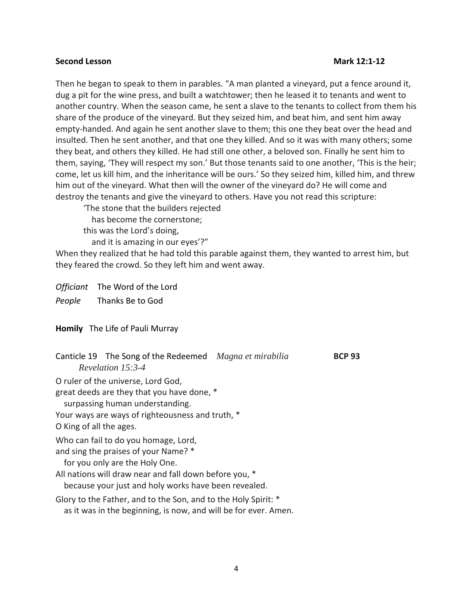#### **Second Lesson Mark 12:1-12**

Then he began to speak to them in parables. "A man planted a vineyard, put a fence around it, dug a pit for the wine press, and built a watchtower; then he leased it to tenants and went to another country. When the season came, he sent a slave to the tenants to collect from them his share of the produce of the vineyard. But they seized him, and beat him, and sent him away empty-handed. And again he sent another slave to them; this one they beat over the head and insulted. Then he sent another, and that one they killed. And so it was with many others; some they beat, and others they killed. He had still one other, a beloved son. Finally he sent him to them, saying, 'They will respect my son.' But those tenants said to one another, 'This is the heir; come, let us kill him, and the inheritance will be ours.' So they seized him, killed him, and threw him out of the vineyard. What then will the owner of the vineyard do? He will come and destroy the tenants and give the vineyard to others. Have you not read this scripture:

'The stone that the builders rejected has become the cornerstone; this was the Lord's doing, and it is amazing in our eyes'?"

When they realized that he had told this parable against them, they wanted to arrest him, but they feared the crowd. So they left him and went away.

*Officiant* The Word of the Lord

*People* Thanks Be to God

### **Homily** The Life of Pauli Murray

| Canticle 19 The Song of the Redeemed Magna et mirabilia<br>Revelation 15:3-4                                                                                                                                                     | <b>BCP 93</b> |
|----------------------------------------------------------------------------------------------------------------------------------------------------------------------------------------------------------------------------------|---------------|
| O ruler of the universe, Lord God,<br>great deeds are they that you have done, *<br>surpassing human understanding.<br>Your ways are ways of righteousness and truth, *<br>O King of all the ages.                               |               |
| Who can fail to do you homage, Lord,<br>and sing the praises of your Name? *<br>for you only are the Holy One.<br>All nations will draw near and fall down before you, *<br>because your just and holy works have been revealed. |               |
| Glory to the Father, and to the Son, and to the Holy Spirit: *<br>as it was in the beginning, is now, and will be for ever. Amen.                                                                                                |               |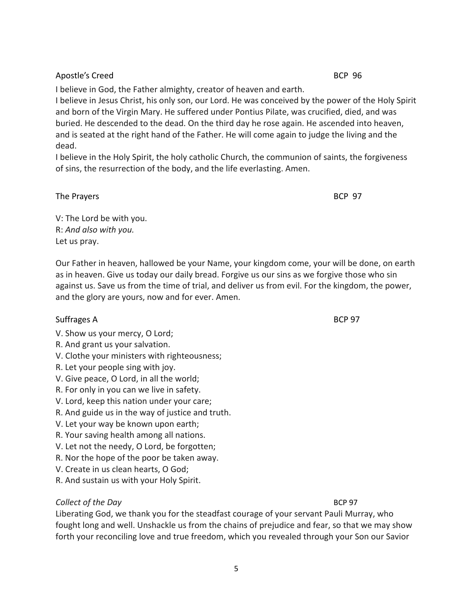### Apostle's Creed and BCP 96

I believe in God, the Father almighty, creator of heaven and earth.

I believe in Jesus Christ, his only son, our Lord. He was conceived by the power of the Holy Spirit and born of the Virgin Mary. He suffered under Pontius Pilate, was crucified, died, and was buried. He descended to the dead. On the third day he rose again. He ascended into heaven, and is seated at the right hand of the Father. He will come again to judge the living and the dead.

I believe in the Holy Spirit, the holy catholic Church, the communion of saints, the forgiveness of sins, the resurrection of the body, and the life everlasting. Amen.

### The Prayers BCP 97

V: The Lord be with you. R: *And also with you.* Let us pray.

Our Father in heaven, hallowed be your Name, your kingdom come, your will be done, on earth as in heaven. Give us today our daily bread. Forgive us our sins as we forgive those who sin against us. Save us from the time of trial, and deliver us from evil. For the kingdom, the power, and the glory are yours, now and for ever. Amen.

# Suffrages A BCP 97

- V. Show us your mercy, O Lord;
- R. And grant us your salvation.
- V. Clothe your ministers with righteousness;
- R. Let your people sing with joy.
- V. Give peace, O Lord, in all the world;
- R. For only in you can we live in safety.
- V. Lord, keep this nation under your care;
- R. And guide us in the way of justice and truth.
- V. Let your way be known upon earth;
- R. Your saving health among all nations.
- V. Let not the needy, O Lord, be forgotten;
- R. Nor the hope of the poor be taken away.
- V. Create in us clean hearts, O God;
- R. And sustain us with your Holy Spirit.

# *Collect of the Day* BCP 97

Liberating God, we thank you for the steadfast courage of your servant Pauli Murray, who fought long and well. Unshackle us from the chains of prejudice and fear, so that we may show forth your reconciling love and true freedom, which you revealed through your Son our Savior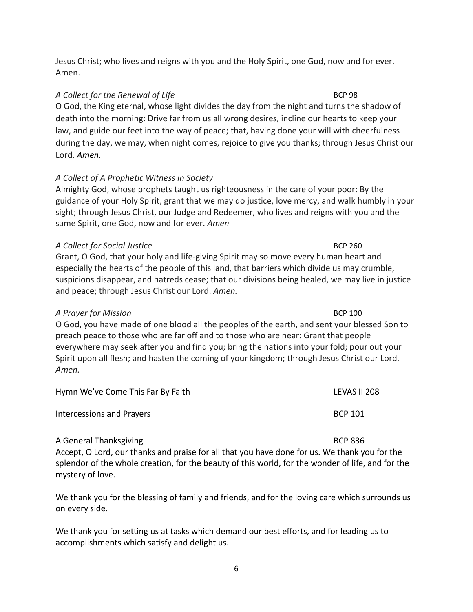Jesus Christ; who lives and reigns with you and the Holy Spirit, one God, now and for ever. Amen.

# *A Collect for the Renewal of Life* BCP 98

O God, the King eternal, whose light divides the day from the night and turns the shadow of death into the morning: Drive far from us all wrong desires, incline our hearts to keep your law, and guide our feet into the way of peace; that, having done your will with cheerfulness during the day, we may, when night comes, rejoice to give you thanks; through Jesus Christ our Lord. *Amen.*

# *A Collect of A Prophetic Witness in Society*

Almighty God, whose prophets taught us righteousness in the care of your poor: By the guidance of your Holy Spirit, grant that we may do justice, love mercy, and walk humbly in your sight; through Jesus Christ, our Judge and Redeemer, who lives and reigns with you and the same Spirit, one God, now and for ever. *Amen*

# *A Collect for Social Justice* BCP 260

Grant, O God, that your holy and life-giving Spirit may so move every human heart and especially the hearts of the people of this land, that barriers which divide us may crumble, suspicions disappear, and hatreds cease; that our divisions being healed, we may live in justice and peace; through Jesus Christ our Lord. *Amen.*

# *A Prayer for Mission* BCP 100

O God, you have made of one blood all the peoples of the earth, and sent your blessed Son to preach peace to those who are far off and to those who are near: Grant that people everywhere may seek after you and find you; bring the nations into your fold; pour out your Spirit upon all flesh; and hasten the coming of your kingdom; through Jesus Christ our Lord. *Amen.*

| Hymn We've Come This Far By Faith | LEVAS II 208 |
|-----------------------------------|--------------|
| Intercessions and Prayers         | BCP 101      |

# A General Thanksgiving BCP 836

Accept, O Lord, our thanks and praise for all that you have done for us. We thank you for the splendor of the whole creation, for the beauty of this world, for the wonder of life, and for the mystery of love.

We thank you for the blessing of family and friends, and for the loving care which surrounds us on every side.

We thank you for setting us at tasks which demand our best efforts, and for leading us to accomplishments which satisfy and delight us.